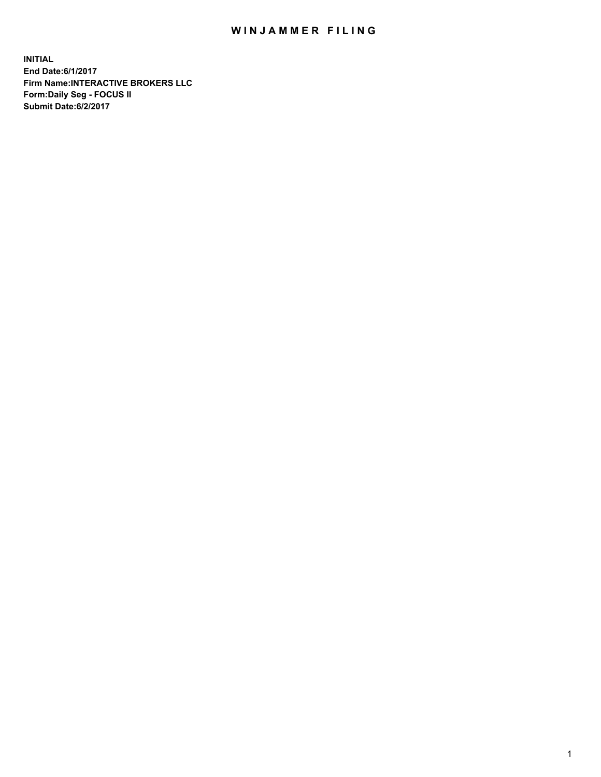## WIN JAMMER FILING

**INITIAL End Date:6/1/2017 Firm Name:INTERACTIVE BROKERS LLC Form:Daily Seg - FOCUS II Submit Date:6/2/2017**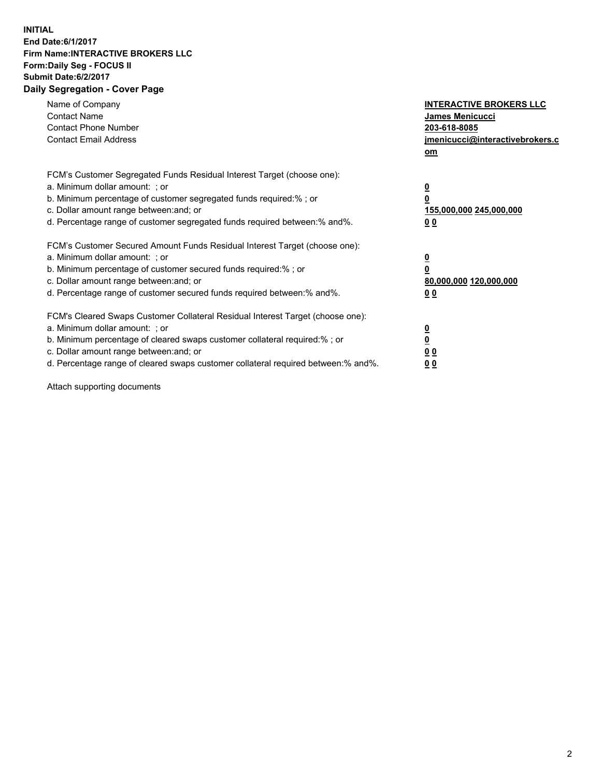## **INITIAL End Date:6/1/2017 Firm Name:INTERACTIVE BROKERS LLC Form:Daily Seg - FOCUS II Submit Date:6/2/2017 Daily Segregation - Cover Page**

| Name of Company<br><b>Contact Name</b><br><b>Contact Phone Number</b><br><b>Contact Email Address</b>                                                                                                                                                                                                                          | <b>INTERACTIVE BROKERS LLC</b><br>James Menicucci<br>203-618-8085<br>jmenicucci@interactivebrokers.c<br>om |
|--------------------------------------------------------------------------------------------------------------------------------------------------------------------------------------------------------------------------------------------------------------------------------------------------------------------------------|------------------------------------------------------------------------------------------------------------|
| FCM's Customer Segregated Funds Residual Interest Target (choose one):<br>a. Minimum dollar amount: ; or<br>b. Minimum percentage of customer segregated funds required:%; or<br>c. Dollar amount range between: and; or<br>d. Percentage range of customer segregated funds required between:% and%.                          | $\overline{\mathbf{0}}$<br>$\overline{\mathbf{0}}$<br>155,000,000 245,000,000<br>00                        |
| FCM's Customer Secured Amount Funds Residual Interest Target (choose one):<br>a. Minimum dollar amount: ; or<br>b. Minimum percentage of customer secured funds required:%; or<br>c. Dollar amount range between: and; or<br>d. Percentage range of customer secured funds required between: % and %.                          | $\overline{\mathbf{0}}$<br>$\mathbf 0$<br>80,000,000 120,000,000<br>00                                     |
| FCM's Cleared Swaps Customer Collateral Residual Interest Target (choose one):<br>a. Minimum dollar amount: ; or<br>b. Minimum percentage of cleared swaps customer collateral required:% ; or<br>c. Dollar amount range between: and; or<br>d. Percentage range of cleared swaps customer collateral required between:% and%. | $\overline{\mathbf{0}}$<br>$\underline{\mathbf{0}}$<br>0 <sub>0</sub><br>0 <sub>0</sub>                    |

Attach supporting documents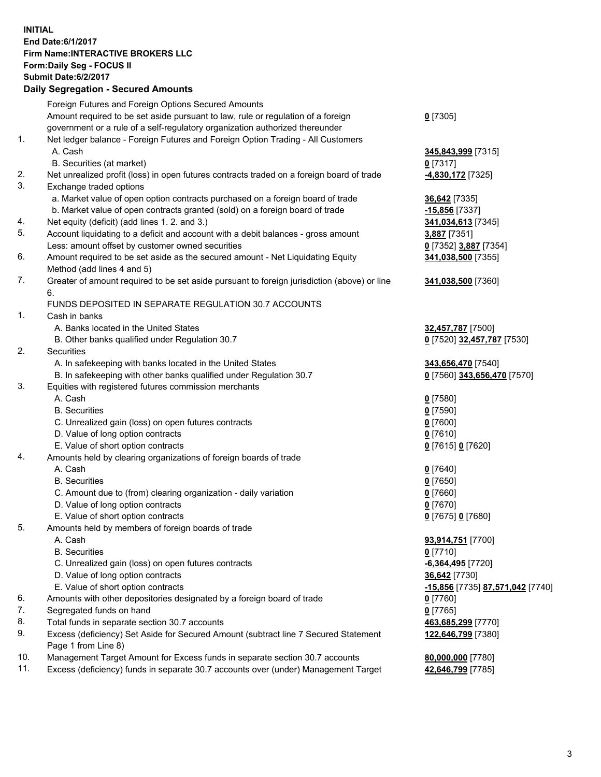## **INITIAL End Date:6/1/2017 Firm Name:INTERACTIVE BROKERS LLC Form:Daily Seg - FOCUS II Submit Date:6/2/2017 Daily Segregation - Secured Amounts**

|     | Foreign Futures and Foreign Options Secured Amounts                                         |                                  |
|-----|---------------------------------------------------------------------------------------------|----------------------------------|
|     | Amount required to be set aside pursuant to law, rule or regulation of a foreign            | $0$ [7305]                       |
|     | government or a rule of a self-regulatory organization authorized thereunder                |                                  |
| 1.  | Net ledger balance - Foreign Futures and Foreign Option Trading - All Customers             |                                  |
|     | A. Cash                                                                                     | 345,843,999 [7315]               |
|     | B. Securities (at market)                                                                   | $0$ [7317]                       |
| 2.  | Net unrealized profit (loss) in open futures contracts traded on a foreign board of trade   | 4,830,172 [7325]                 |
| 3.  | Exchange traded options                                                                     |                                  |
|     | a. Market value of open option contracts purchased on a foreign board of trade              | 36,642 [7335]                    |
|     | b. Market value of open contracts granted (sold) on a foreign board of trade                | -15,856 [7337]                   |
| 4.  | Net equity (deficit) (add lines 1.2. and 3.)                                                | 341,034,613 [7345]               |
| 5.  | Account liquidating to a deficit and account with a debit balances - gross amount           | 3,887 [7351]                     |
|     | Less: amount offset by customer owned securities                                            | 0 [7352] 3,887 [7354]            |
| 6.  | Amount required to be set aside as the secured amount - Net Liquidating Equity              | 341,038,500 [7355]               |
|     | Method (add lines 4 and 5)                                                                  |                                  |
| 7.  | Greater of amount required to be set aside pursuant to foreign jurisdiction (above) or line | 341,038,500 [7360]               |
|     | 6.                                                                                          |                                  |
|     | FUNDS DEPOSITED IN SEPARATE REGULATION 30.7 ACCOUNTS                                        |                                  |
| 1.  |                                                                                             |                                  |
|     | Cash in banks<br>A. Banks located in the United States                                      |                                  |
|     |                                                                                             | 32,457,787 [7500]                |
| 2.  | B. Other banks qualified under Regulation 30.7                                              | 0 [7520] 32,457,787 [7530]       |
|     | Securities                                                                                  |                                  |
|     | A. In safekeeping with banks located in the United States                                   | 343,656,470 [7540]               |
|     | B. In safekeeping with other banks qualified under Regulation 30.7                          | 0 [7560] 343,656,470 [7570]      |
| 3.  | Equities with registered futures commission merchants                                       |                                  |
|     | A. Cash                                                                                     | $0$ [7580]                       |
|     | <b>B.</b> Securities                                                                        | $0$ [7590]                       |
|     | C. Unrealized gain (loss) on open futures contracts                                         | $0$ [7600]                       |
|     | D. Value of long option contracts                                                           | $0$ [7610]                       |
|     | E. Value of short option contracts                                                          | 0 [7615] 0 [7620]                |
| 4.  | Amounts held by clearing organizations of foreign boards of trade                           |                                  |
|     | A. Cash                                                                                     | $0$ [7640]                       |
|     | <b>B.</b> Securities                                                                        | $0$ [7650]                       |
|     | C. Amount due to (from) clearing organization - daily variation                             | $0$ [7660]                       |
|     | D. Value of long option contracts                                                           | $0$ [7670]                       |
|     | E. Value of short option contracts                                                          | 0 [7675] 0 [7680]                |
| 5.  | Amounts held by members of foreign boards of trade                                          |                                  |
|     | A. Cash                                                                                     | 93,914,751 [7700]                |
|     | <b>B.</b> Securities                                                                        | $0$ [7710]                       |
|     | C. Unrealized gain (loss) on open futures contracts                                         | $-6,364,495$ [7720]              |
|     | D. Value of long option contracts                                                           | 36,642 [7730]                    |
|     | E. Value of short option contracts                                                          | -15,856 [7735] 87,571,042 [7740] |
| 6.  | Amounts with other depositories designated by a foreign board of trade                      | $0$ [7760]                       |
| 7.  | Segregated funds on hand                                                                    | $0$ [7765]                       |
| 8.  | Total funds in separate section 30.7 accounts                                               | 463,685,299 [7770]               |
| 9.  | Excess (deficiency) Set Aside for Secured Amount (subtract line 7 Secured Statement         | 122,646,799 [7380]               |
|     | Page 1 from Line 8)                                                                         |                                  |
| 10. | Management Target Amount for Excess funds in separate section 30.7 accounts                 | 80,000,000 [7780]                |
| 11. | Excess (deficiency) funds in separate 30.7 accounts over (under) Management Target          | 42,646,799 [7785]                |
|     |                                                                                             |                                  |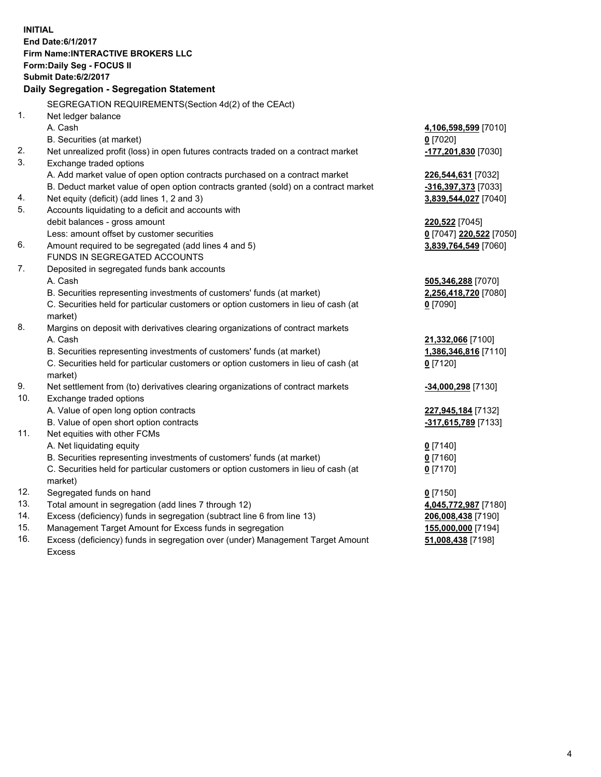**INITIAL End Date:6/1/2017 Firm Name:INTERACTIVE BROKERS LLC Form:Daily Seg - FOCUS II Submit Date:6/2/2017 Daily Segregation - Segregation Statement** SEGREGATION REQUIREMENTS(Section 4d(2) of the CEAct) 1. Net ledger balance A. Cash **4,106,598,599** [7010] B. Securities (at market) **0** [7020] 2. Net unrealized profit (loss) in open futures contracts traded on a contract market **-177,201,830** [7030] 3. Exchange traded options A. Add market value of open option contracts purchased on a contract market **226,544,631** [7032] B. Deduct market value of open option contracts granted (sold) on a contract market **-316,397,373** [7033] 4. Net equity (deficit) (add lines 1, 2 and 3) **3,839,544,027** [7040] 5. Accounts liquidating to a deficit and accounts with debit balances - gross amount **220,522** [7045] Less: amount offset by customer securities **0** [7047] **220,522** [7050] 6. Amount required to be segregated (add lines 4 and 5) **3,839,764,549** [7060] FUNDS IN SEGREGATED ACCOUNTS 7. Deposited in segregated funds bank accounts A. Cash **505,346,288** [7070] B. Securities representing investments of customers' funds (at market) **2,256,418,720** [7080] C. Securities held for particular customers or option customers in lieu of cash (at market) **0** [7090] 8. Margins on deposit with derivatives clearing organizations of contract markets A. Cash **21,332,066** [7100] B. Securities representing investments of customers' funds (at market) **1,386,346,816** [7110] C. Securities held for particular customers or option customers in lieu of cash (at market) **0** [7120] 9. Net settlement from (to) derivatives clearing organizations of contract markets **-34,000,298** [7130] 10. Exchange traded options A. Value of open long option contracts **227,945,184** [7132] B. Value of open short option contracts **-317,615,789** [7133] 11. Net equities with other FCMs A. Net liquidating equity **0** [7140] B. Securities representing investments of customers' funds (at market) **0** [7160] C. Securities held for particular customers or option customers in lieu of cash (at market) **0** [7170] 12. Segregated funds on hand **0** [7150] 13. Total amount in segregation (add lines 7 through 12) **4,045,772,987** [7180] 14. Excess (deficiency) funds in segregation (subtract line 6 from line 13) **206,008,438** [7190] 15. Management Target Amount for Excess funds in segregation **155,000,000** [7194] **51,008,438** [7198]

16. Excess (deficiency) funds in segregation over (under) Management Target Amount Excess